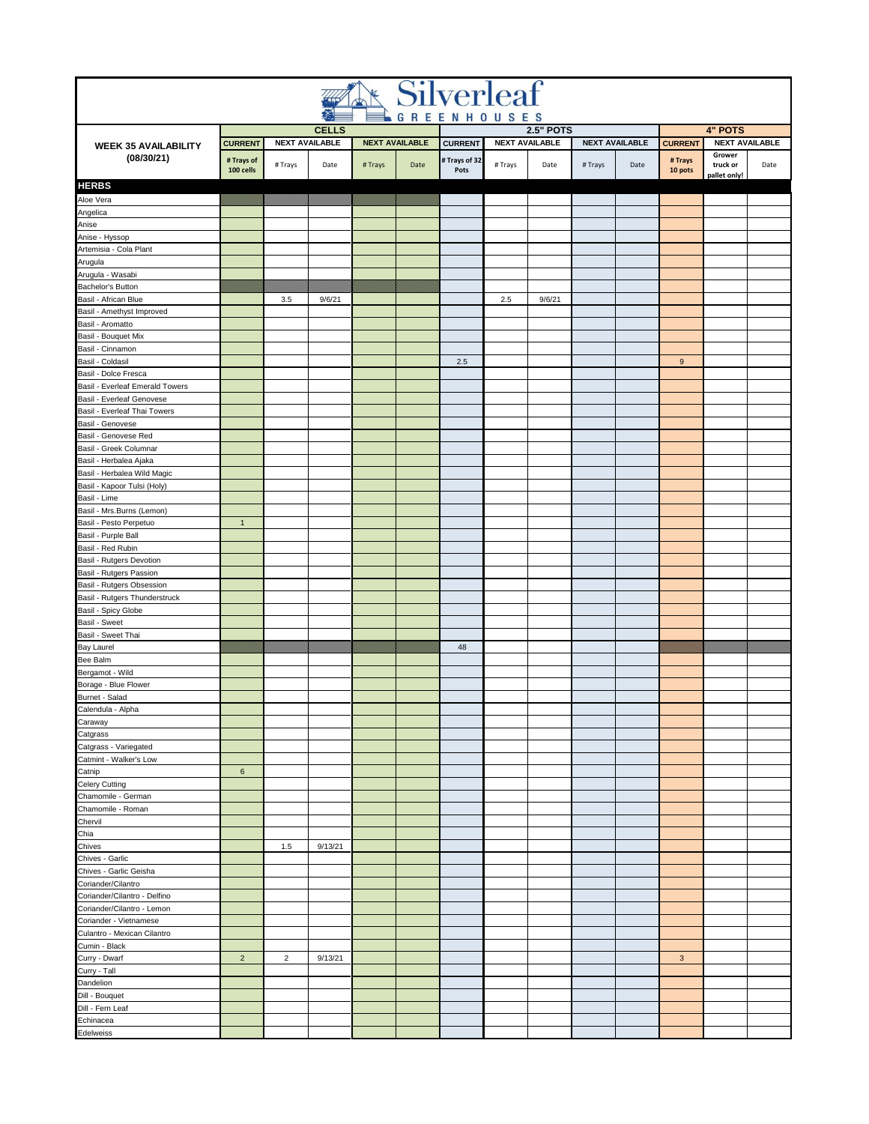|                                                           |                         |                |                                       |        |                       | <b>Silverleaf</b>                       |             |                                           |         |                       |                                      |                                         |      |  |  |
|-----------------------------------------------------------|-------------------------|----------------|---------------------------------------|--------|-----------------------|-----------------------------------------|-------------|-------------------------------------------|---------|-----------------------|--------------------------------------|-----------------------------------------|------|--|--|
|                                                           |                         |                |                                       |        |                       |                                         | GREENHOUSES |                                           |         |                       |                                      |                                         |      |  |  |
| <b>WEEK 35 AVAILABILITY</b>                               | <b>CURRENT</b>          |                | <b>CELLS</b><br><b>NEXT AVAILABLE</b> |        | <b>NEXT AVAILABLE</b> |                                         |             | <b>2.5" POTS</b><br><b>NEXT AVAILABLE</b> |         | <b>NEXT AVAILABLE</b> |                                      | <b>4" POTS</b><br><b>NEXT AVAILABLE</b> |      |  |  |
| (08/30/21)                                                | # Trays of<br>100 cells | # Trays        | Date                                  | #Trays | Date                  | <b>CURRENT</b><br># Trays of 32<br>Pots | # Trays     | Date                                      | # Trays | Date                  | <b>CURRENT</b><br># Trays<br>10 pots | Grower<br>truck or<br>pallet only!      | Date |  |  |
| <b>HERBS</b>                                              |                         |                |                                       |        |                       |                                         |             |                                           |         |                       |                                      |                                         |      |  |  |
| Aloe Vera                                                 |                         |                |                                       |        |                       |                                         |             |                                           |         |                       |                                      |                                         |      |  |  |
| Angelica<br>Anise                                         |                         |                |                                       |        |                       |                                         |             |                                           |         |                       |                                      |                                         |      |  |  |
| Anise - Hyssop                                            |                         |                |                                       |        |                       |                                         |             |                                           |         |                       |                                      |                                         |      |  |  |
| Artemisia - Cola Plant                                    |                         |                |                                       |        |                       |                                         |             |                                           |         |                       |                                      |                                         |      |  |  |
| Arugula                                                   |                         |                |                                       |        |                       |                                         |             |                                           |         |                       |                                      |                                         |      |  |  |
| Arugula - Wasabi                                          |                         |                |                                       |        |                       |                                         |             |                                           |         |                       |                                      |                                         |      |  |  |
| Bachelor's Button                                         |                         |                |                                       |        |                       |                                         |             |                                           |         |                       |                                      |                                         |      |  |  |
| Basil - African Blue                                      |                         | 3.5            | 9/6/21                                |        |                       |                                         | 2.5         | 9/6/21                                    |         |                       |                                      |                                         |      |  |  |
| Basil - Amethyst Improved<br>Basil - Aromatto             |                         |                |                                       |        |                       |                                         |             |                                           |         |                       |                                      |                                         |      |  |  |
| Basil - Bouquet Mix                                       |                         |                |                                       |        |                       |                                         |             |                                           |         |                       |                                      |                                         |      |  |  |
| Basil - Cinnamon                                          |                         |                |                                       |        |                       |                                         |             |                                           |         |                       |                                      |                                         |      |  |  |
| Basil - Coldasil                                          |                         |                |                                       |        |                       | 2.5                                     |             |                                           |         |                       | 9                                    |                                         |      |  |  |
| Basil - Dolce Fresca                                      |                         |                |                                       |        |                       |                                         |             |                                           |         |                       |                                      |                                         |      |  |  |
| Basil - Everleaf Emerald Towers                           |                         |                |                                       |        |                       |                                         |             |                                           |         |                       |                                      |                                         |      |  |  |
| Basil - Everleaf Genovese<br>Basil - Everleaf Thai Towers |                         |                |                                       |        |                       |                                         |             |                                           |         |                       |                                      |                                         |      |  |  |
| Basil - Genovese                                          |                         |                |                                       |        |                       |                                         |             |                                           |         |                       |                                      |                                         |      |  |  |
| Basil - Genovese Red                                      |                         |                |                                       |        |                       |                                         |             |                                           |         |                       |                                      |                                         |      |  |  |
| Basil - Greek Columnar                                    |                         |                |                                       |        |                       |                                         |             |                                           |         |                       |                                      |                                         |      |  |  |
| Basil - Herbalea Ajaka                                    |                         |                |                                       |        |                       |                                         |             |                                           |         |                       |                                      |                                         |      |  |  |
| Basil - Herbalea Wild Magic                               |                         |                |                                       |        |                       |                                         |             |                                           |         |                       |                                      |                                         |      |  |  |
| Basil - Kapoor Tulsi (Holy)                               |                         |                |                                       |        |                       |                                         |             |                                           |         |                       |                                      |                                         |      |  |  |
| Basil - Lime                                              |                         |                |                                       |        |                       |                                         |             |                                           |         |                       |                                      |                                         |      |  |  |
| Basil - Mrs.Burns (Lemon)<br>Basil - Pesto Perpetuo       | $\mathbf{1}$            |                |                                       |        |                       |                                         |             |                                           |         |                       |                                      |                                         |      |  |  |
| Basil - Purple Ball                                       |                         |                |                                       |        |                       |                                         |             |                                           |         |                       |                                      |                                         |      |  |  |
| Basil - Red Rubin                                         |                         |                |                                       |        |                       |                                         |             |                                           |         |                       |                                      |                                         |      |  |  |
| Basil - Rutgers Devotion                                  |                         |                |                                       |        |                       |                                         |             |                                           |         |                       |                                      |                                         |      |  |  |
| Basil - Rutgers Passion                                   |                         |                |                                       |        |                       |                                         |             |                                           |         |                       |                                      |                                         |      |  |  |
| Basil - Rutgers Obsession                                 |                         |                |                                       |        |                       |                                         |             |                                           |         |                       |                                      |                                         |      |  |  |
| Basil - Rutgers Thunderstruck                             |                         |                |                                       |        |                       |                                         |             |                                           |         |                       |                                      |                                         |      |  |  |
| Basil - Spicy Globe<br><b>Basil - Sweet</b>               |                         |                |                                       |        |                       |                                         |             |                                           |         |                       |                                      |                                         |      |  |  |
| Basil - Sweet Thai                                        |                         |                |                                       |        |                       |                                         |             |                                           |         |                       |                                      |                                         |      |  |  |
| <b>Bay Laurel</b>                                         |                         |                |                                       |        |                       | 48                                      |             |                                           |         |                       |                                      |                                         |      |  |  |
| Bee Balm                                                  |                         |                |                                       |        |                       |                                         |             |                                           |         |                       |                                      |                                         |      |  |  |
| Bergamot - Wild                                           |                         |                |                                       |        |                       |                                         |             |                                           |         |                       |                                      |                                         |      |  |  |
| Borage - Blue Flower                                      |                         |                |                                       |        |                       |                                         |             |                                           |         |                       |                                      |                                         |      |  |  |
| Burnet - Salad                                            |                         |                |                                       |        |                       |                                         |             |                                           |         |                       |                                      |                                         |      |  |  |
| Calendula - Alpha<br>Caraway                              |                         |                |                                       |        |                       |                                         |             |                                           |         |                       |                                      |                                         |      |  |  |
| Catgrass                                                  |                         |                |                                       |        |                       |                                         |             |                                           |         |                       |                                      |                                         |      |  |  |
| Catgrass - Variegated                                     |                         |                |                                       |        |                       |                                         |             |                                           |         |                       |                                      |                                         |      |  |  |
| Catmint - Walker's Low                                    |                         |                |                                       |        |                       |                                         |             |                                           |         |                       |                                      |                                         |      |  |  |
| Catnip                                                    | $\,6\,$                 |                |                                       |        |                       |                                         |             |                                           |         |                       |                                      |                                         |      |  |  |
| Celery Cutting                                            |                         |                |                                       |        |                       |                                         |             |                                           |         |                       |                                      |                                         |      |  |  |
| Chamomile - German                                        |                         |                |                                       |        |                       |                                         |             |                                           |         |                       |                                      |                                         |      |  |  |
| Chamomile - Roman<br>Chervil                              |                         |                |                                       |        |                       |                                         |             |                                           |         |                       |                                      |                                         |      |  |  |
| Chia                                                      |                         |                |                                       |        |                       |                                         |             |                                           |         |                       |                                      |                                         |      |  |  |
| Chives                                                    |                         | 1.5            | 9/13/21                               |        |                       |                                         |             |                                           |         |                       |                                      |                                         |      |  |  |
| Chives - Garlic                                           |                         |                |                                       |        |                       |                                         |             |                                           |         |                       |                                      |                                         |      |  |  |
| Chives - Garlic Geisha                                    |                         |                |                                       |        |                       |                                         |             |                                           |         |                       |                                      |                                         |      |  |  |
| Coriander/Cilantro                                        |                         |                |                                       |        |                       |                                         |             |                                           |         |                       |                                      |                                         |      |  |  |
| Coriander/Cilantro - Delfino                              |                         |                |                                       |        |                       |                                         |             |                                           |         |                       |                                      |                                         |      |  |  |
| Coriander/Cilantro - Lemon<br>Coriander - Vietnamese      |                         |                |                                       |        |                       |                                         |             |                                           |         |                       |                                      |                                         |      |  |  |
| Culantro - Mexican Cilantro                               |                         |                |                                       |        |                       |                                         |             |                                           |         |                       |                                      |                                         |      |  |  |
| Cumin - Black                                             |                         |                |                                       |        |                       |                                         |             |                                           |         |                       |                                      |                                         |      |  |  |
| Curry - Dwarf                                             | $\overline{c}$          | $\overline{2}$ | 9/13/21                               |        |                       |                                         |             |                                           |         |                       | 3                                    |                                         |      |  |  |
| Curry - Tall                                              |                         |                |                                       |        |                       |                                         |             |                                           |         |                       |                                      |                                         |      |  |  |
| Dandelion                                                 |                         |                |                                       |        |                       |                                         |             |                                           |         |                       |                                      |                                         |      |  |  |
| Dill - Bouquet                                            |                         |                |                                       |        |                       |                                         |             |                                           |         |                       |                                      |                                         |      |  |  |
| Dill - Fern Leaf<br>Echinacea                             |                         |                |                                       |        |                       |                                         |             |                                           |         |                       |                                      |                                         |      |  |  |
| Edelweiss                                                 |                         |                |                                       |        |                       |                                         |             |                                           |         |                       |                                      |                                         |      |  |  |
|                                                           |                         |                |                                       |        |                       |                                         |             |                                           |         |                       |                                      |                                         |      |  |  |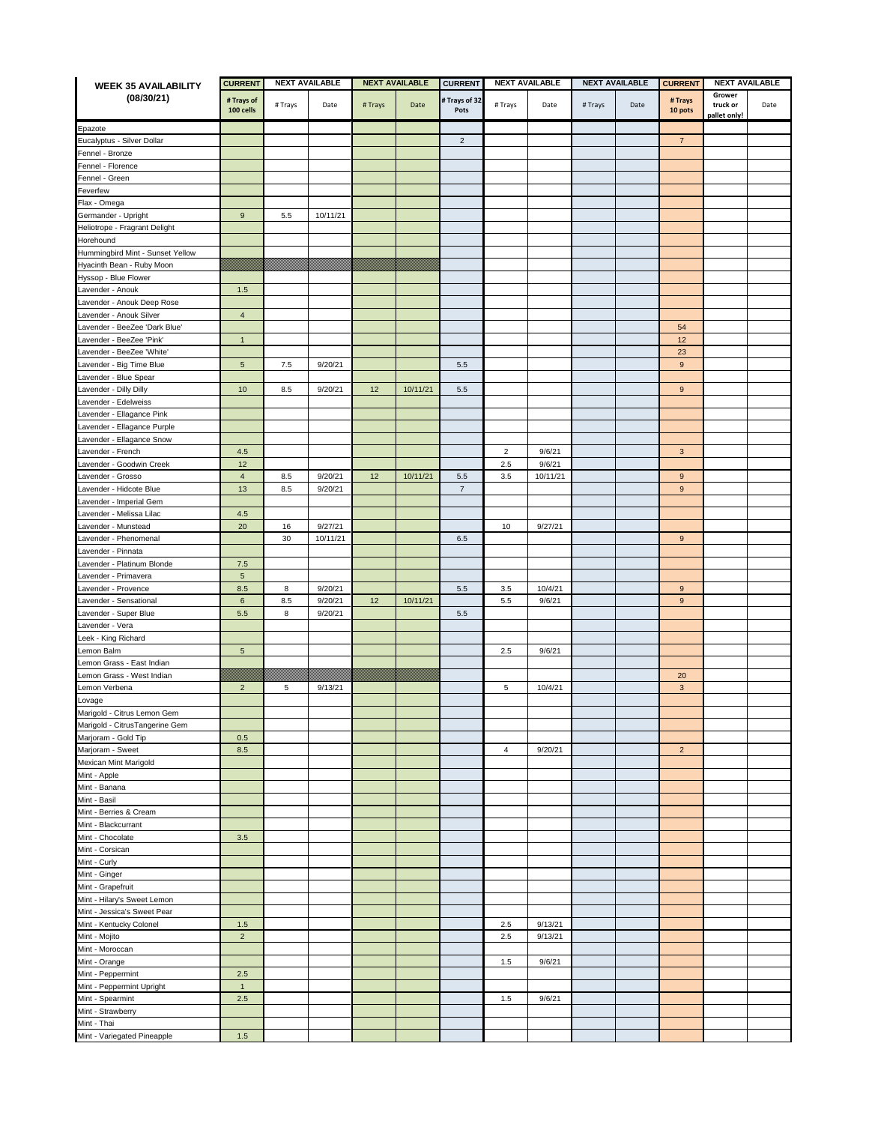| <b>WEEK 35 AVAILABILITY</b>           | <b>CURRENT</b>          | <b>NEXT AVAILABLE</b> |          | <b>NEXT AVAILABLE</b> |          | <b>CURRENT</b>        | <b>NEXT AVAILABLE</b> |          | <b>NEXT AVAILABLE</b> |      | <b>CURRENT</b><br><b>NEXT AVAILABLE</b> |                                    |      |
|---------------------------------------|-------------------------|-----------------------|----------|-----------------------|----------|-----------------------|-----------------------|----------|-----------------------|------|-----------------------------------------|------------------------------------|------|
| (08/30/21)                            | # Trays of<br>100 cells | # Trays               | Date     | #Trays                | Date     | # Trays of 32<br>Pots | # Trays               | Date     | # Trays               | Date | # Trays<br>10 pots                      | Grower<br>truck or<br>pallet only! | Date |
|                                       |                         |                       |          |                       |          |                       |                       |          |                       |      |                                         |                                    |      |
| Epazote<br>Eucalyptus - Silver Dollar |                         |                       |          |                       |          | $\overline{2}$        |                       |          |                       |      | $\overline{7}$                          |                                    |      |
| Fennel - Bronze                       |                         |                       |          |                       |          |                       |                       |          |                       |      |                                         |                                    |      |
| Fennel - Florence                     |                         |                       |          |                       |          |                       |                       |          |                       |      |                                         |                                    |      |
| Fennel - Green                        |                         |                       |          |                       |          |                       |                       |          |                       |      |                                         |                                    |      |
| Feverfew                              |                         |                       |          |                       |          |                       |                       |          |                       |      |                                         |                                    |      |
| Flax - Omega                          |                         |                       |          |                       |          |                       |                       |          |                       |      |                                         |                                    |      |
| Germander - Upright                   | 9                       | 5.5                   | 10/11/21 |                       |          |                       |                       |          |                       |      |                                         |                                    |      |
| Heliotrope - Fragrant Delight         |                         |                       |          |                       |          |                       |                       |          |                       |      |                                         |                                    |      |
| Horehound                             |                         |                       |          |                       |          |                       |                       |          |                       |      |                                         |                                    |      |
| Hummingbird Mint - Sunset Yellow      |                         |                       |          |                       |          |                       |                       |          |                       |      |                                         |                                    |      |
| Hyacinth Bean - Ruby Moon             |                         |                       |          |                       |          |                       |                       |          |                       |      |                                         |                                    |      |
| Hyssop - Blue Flower                  |                         |                       |          |                       |          |                       |                       |          |                       |      |                                         |                                    |      |
| Lavender - Anouk                      | 1.5                     |                       |          |                       |          |                       |                       |          |                       |      |                                         |                                    |      |
| avender - Anouk Deep Rose             |                         |                       |          |                       |          |                       |                       |          |                       |      |                                         |                                    |      |
| Lavender - Anouk Silver               | $\overline{4}$          |                       |          |                       |          |                       |                       |          |                       |      |                                         |                                    |      |
| avender - BeeZee 'Dark Blue'          |                         |                       |          |                       |          |                       |                       |          |                       |      | 54                                      |                                    |      |
| _avender - BeeZee 'Pink'              | $\mathbf{1}$            |                       |          |                       |          |                       |                       |          |                       |      | 12                                      |                                    |      |
| Lavender - BeeZee 'White'             |                         |                       |          |                       |          |                       |                       |          |                       |      | 23                                      |                                    |      |
| Lavender - Big Time Blue              | 5                       | 7.5                   | 9/20/21  |                       |          | 5.5                   |                       |          |                       |      | 9                                       |                                    |      |
| avender - Blue Spear                  |                         |                       |          |                       |          |                       |                       |          |                       |      |                                         |                                    |      |
| avender - Dilly Dilly                 | 10                      | 8.5                   | 9/20/21  | 12                    | 10/11/21 | 5.5                   |                       |          |                       |      | $\boldsymbol{9}$                        |                                    |      |
| avender - Edelweiss                   |                         |                       |          |                       |          |                       |                       |          |                       |      |                                         |                                    |      |
| avender - Ellagance Pink              |                         |                       |          |                       |          |                       |                       |          |                       |      |                                         |                                    |      |
| Lavender - Ellagance Purple           |                         |                       |          |                       |          |                       |                       |          |                       |      |                                         |                                    |      |
| Lavender - Ellagance Snow             |                         |                       |          |                       |          |                       |                       |          |                       |      |                                         |                                    |      |
| Lavender - French                     | 4.5                     |                       |          |                       |          |                       | 2                     | 9/6/21   |                       |      | 3                                       |                                    |      |
| avender - Goodwin Creek               | 12                      |                       |          |                       |          |                       | 2.5                   | 9/6/21   |                       |      |                                         |                                    |      |
| Lavender - Grosso                     | $\overline{4}$          | 8.5                   | 9/20/21  | 12                    | 10/11/21 | 5.5                   | 3.5                   | 10/11/21 |                       |      | 9                                       |                                    |      |
| Lavender - Hidcote Blue               | 13                      | 8.5                   | 9/20/21  |                       |          | $\overline{7}$        |                       |          |                       |      | $\boldsymbol{9}$                        |                                    |      |
| avender - Imperial Gem                |                         |                       |          |                       |          |                       |                       |          |                       |      |                                         |                                    |      |
| Lavender - Melissa Lilac              | 4.5                     |                       |          |                       |          |                       |                       |          |                       |      |                                         |                                    |      |
| _avender - Munstead                   | 20                      | 16                    | 9/27/21  |                       |          |                       | 10                    | 9/27/21  |                       |      |                                         |                                    |      |
| avender - Phenomenal                  |                         | 30                    | 10/11/21 |                       |          | 6.5                   |                       |          |                       |      | $\boldsymbol{9}$                        |                                    |      |
| avender - Pinnata                     |                         |                       |          |                       |          |                       |                       |          |                       |      |                                         |                                    |      |
| Lavender - Platinum Blonde            | $7.5$                   |                       |          |                       |          |                       |                       |          |                       |      |                                         |                                    |      |
| avender - Primavera                   | $\sqrt{5}$              |                       |          |                       |          |                       |                       |          |                       |      |                                         |                                    |      |
| Lavender - Provence                   | 8.5                     | 8                     | 9/20/21  |                       |          | 5.5                   | 3.5                   | 10/4/21  |                       |      | 9                                       |                                    |      |
| Lavender - Sensational                | 6                       | 8.5                   | 9/20/21  | 12                    | 10/11/21 |                       | 5.5                   | 9/6/21   |                       |      | $\boldsymbol{9}$                        |                                    |      |
| Lavender - Super Blue                 | 5.5                     | 8                     | 9/20/21  |                       |          | 5.5                   |                       |          |                       |      |                                         |                                    |      |
| _avender - Vera                       |                         |                       |          |                       |          |                       |                       |          |                       |      |                                         |                                    |      |
| Leek - King Richard                   |                         |                       |          |                       |          |                       |                       |          |                       |      |                                         |                                    |      |
| emon Balm                             | $\sqrt{5}$              |                       |          |                       |          |                       | 2.5                   | 9/6/21   |                       |      |                                         |                                    |      |
| emon Grass - East Indian              |                         |                       |          |                       |          |                       |                       |          |                       |      |                                         |                                    |      |
| Lemon Grass - West Indian             |                         |                       |          |                       |          |                       |                       |          |                       |      | 20                                      |                                    |      |
| emon Verbena                          | $\overline{2}$          | 5                     | 9/13/21  |                       |          |                       | 5                     | 10/4/21  |                       |      | $\mathsf 3$                             |                                    |      |
| _ovage<br>Marigold - Citrus Lemon Gem |                         |                       |          |                       |          |                       |                       |          |                       |      |                                         |                                    |      |
| Marigold - CitrusTangerine Gem        |                         |                       |          |                       |          |                       |                       |          |                       |      |                                         |                                    |      |
| Marjoram - Gold Tip                   | 0.5                     |                       |          |                       |          |                       |                       |          |                       |      |                                         |                                    |      |
| Marjoram - Sweet                      | 8.5                     |                       |          |                       |          |                       | $\overline{4}$        | 9/20/21  |                       |      | $\overline{2}$                          |                                    |      |
| Mexican Mint Marigold                 |                         |                       |          |                       |          |                       |                       |          |                       |      |                                         |                                    |      |
| Mint - Apple                          |                         |                       |          |                       |          |                       |                       |          |                       |      |                                         |                                    |      |
| Mint - Banana                         |                         |                       |          |                       |          |                       |                       |          |                       |      |                                         |                                    |      |
| Mint - Basil                          |                         |                       |          |                       |          |                       |                       |          |                       |      |                                         |                                    |      |
| Mint - Berries & Cream                |                         |                       |          |                       |          |                       |                       |          |                       |      |                                         |                                    |      |
| Mint - Blackcurrant                   |                         |                       |          |                       |          |                       |                       |          |                       |      |                                         |                                    |      |
| Mint - Chocolate                      | $3.5\,$                 |                       |          |                       |          |                       |                       |          |                       |      |                                         |                                    |      |
| Mint - Corsican                       |                         |                       |          |                       |          |                       |                       |          |                       |      |                                         |                                    |      |
| Mint - Curly                          |                         |                       |          |                       |          |                       |                       |          |                       |      |                                         |                                    |      |
| Mint - Ginger                         |                         |                       |          |                       |          |                       |                       |          |                       |      |                                         |                                    |      |
| Mint - Grapefruit                     |                         |                       |          |                       |          |                       |                       |          |                       |      |                                         |                                    |      |
| Mint - Hilary's Sweet Lemon           |                         |                       |          |                       |          |                       |                       |          |                       |      |                                         |                                    |      |
| Mint - Jessica's Sweet Pear           |                         |                       |          |                       |          |                       |                       |          |                       |      |                                         |                                    |      |
| Mint - Kentucky Colonel               | $1.5$                   |                       |          |                       |          |                       | $2.5\,$               | 9/13/21  |                       |      |                                         |                                    |      |
| Mint - Mojito                         | $\overline{c}$          |                       |          |                       |          |                       | 2.5                   | 9/13/21  |                       |      |                                         |                                    |      |
| Mint - Moroccan                       |                         |                       |          |                       |          |                       |                       |          |                       |      |                                         |                                    |      |
| Mint - Orange                         |                         |                       |          |                       |          |                       | 1.5                   | 9/6/21   |                       |      |                                         |                                    |      |
| Mint - Peppermint                     | 2.5                     |                       |          |                       |          |                       |                       |          |                       |      |                                         |                                    |      |
| Mint - Peppermint Upright             | $\mathbf{1}$            |                       |          |                       |          |                       |                       |          |                       |      |                                         |                                    |      |
| Mint - Spearmint                      | $2.5\,$                 |                       |          |                       |          |                       | 1.5                   | 9/6/21   |                       |      |                                         |                                    |      |
| Mint - Strawberry                     |                         |                       |          |                       |          |                       |                       |          |                       |      |                                         |                                    |      |
| Mint - Thai                           |                         |                       |          |                       |          |                       |                       |          |                       |      |                                         |                                    |      |
| Mint - Variegated Pineapple           | $1.5$                   |                       |          |                       |          |                       |                       |          |                       |      |                                         |                                    |      |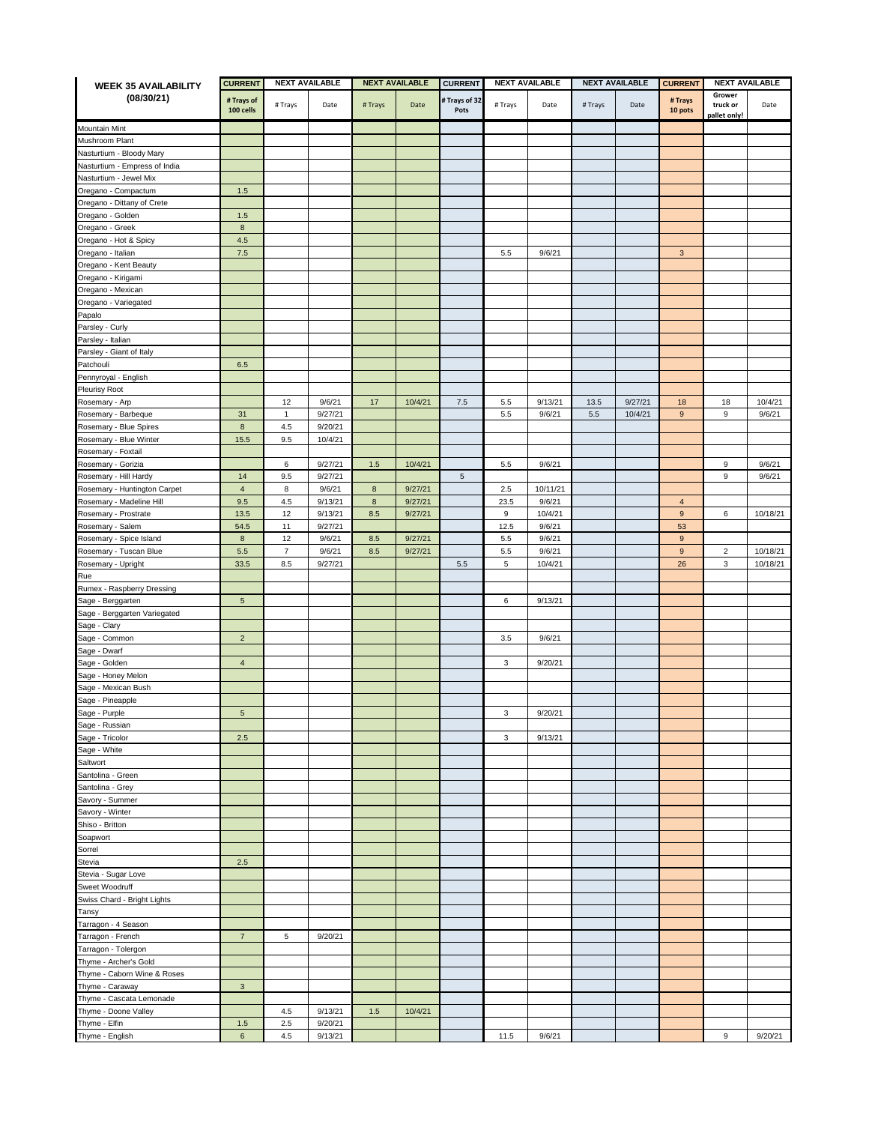| <b>WEEK 35 AVAILABILITY</b>                  | <b>CURRENT</b>          | <b>NEXT AVAILABLE</b> |         | <b>NEXT AVAILABLE</b> |         | <b>CURRENT</b>        | <b>NEXT AVAILABLE</b> |          | <b>NEXT AVAILABLE</b> |         | <b>CURRENT</b><br><b>NEXT AVAILABLE</b> |                                    |          |
|----------------------------------------------|-------------------------|-----------------------|---------|-----------------------|---------|-----------------------|-----------------------|----------|-----------------------|---------|-----------------------------------------|------------------------------------|----------|
| (08/30/21)                                   | # Trays of<br>100 cells | # Trays               | Date    | # Trays               | Date    | # Trays of 32<br>Pots | # Trays               | Date     | # Trays               | Date    | # Trays<br>10 pots                      | Grower<br>truck or<br>pallet only! | Date     |
| <b>Mountain Mint</b>                         |                         |                       |         |                       |         |                       |                       |          |                       |         |                                         |                                    |          |
| Mushroom Plant                               |                         |                       |         |                       |         |                       |                       |          |                       |         |                                         |                                    |          |
| Vasturtium - Bloody Mary                     |                         |                       |         |                       |         |                       |                       |          |                       |         |                                         |                                    |          |
| Vasturtium - Empress of India                |                         |                       |         |                       |         |                       |                       |          |                       |         |                                         |                                    |          |
| Vasturtium - Jewel Mix                       |                         |                       |         |                       |         |                       |                       |          |                       |         |                                         |                                    |          |
| Oregano - Compactum                          | $1.5$                   |                       |         |                       |         |                       |                       |          |                       |         |                                         |                                    |          |
| Oregano - Dittany of Crete                   |                         |                       |         |                       |         |                       |                       |          |                       |         |                                         |                                    |          |
| Oregano - Golden                             | 1.5                     |                       |         |                       |         |                       |                       |          |                       |         |                                         |                                    |          |
| Oregano - Greek                              | $\bf{8}$                |                       |         |                       |         |                       |                       |          |                       |         |                                         |                                    |          |
| Oregano - Hot & Spicy                        | 4.5                     |                       |         |                       |         |                       |                       |          |                       |         |                                         |                                    |          |
| Oregano - Italian                            | $7.5$                   |                       |         |                       |         |                       | 5.5                   | 9/6/21   |                       |         | $\mathsf 3$                             |                                    |          |
| Oregano - Kent Beauty                        |                         |                       |         |                       |         |                       |                       |          |                       |         |                                         |                                    |          |
| Oregano - Kirigami                           |                         |                       |         |                       |         |                       |                       |          |                       |         |                                         |                                    |          |
| Oregano - Mexican                            |                         |                       |         |                       |         |                       |                       |          |                       |         |                                         |                                    |          |
| Oregano - Variegated                         |                         |                       |         |                       |         |                       |                       |          |                       |         |                                         |                                    |          |
| Papalo                                       |                         |                       |         |                       |         |                       |                       |          |                       |         |                                         |                                    |          |
| Parsley - Curly                              |                         |                       |         |                       |         |                       |                       |          |                       |         |                                         |                                    |          |
| Parsley - Italian                            |                         |                       |         |                       |         |                       |                       |          |                       |         |                                         |                                    |          |
| Parsley - Giant of Italy                     |                         |                       |         |                       |         |                       |                       |          |                       |         |                                         |                                    |          |
| Patchouli                                    | 6.5                     |                       |         |                       |         |                       |                       |          |                       |         |                                         |                                    |          |
| Pennyroyal - English                         |                         |                       |         |                       |         |                       |                       |          |                       |         |                                         |                                    |          |
| Pleurisy Root                                |                         |                       |         |                       |         |                       |                       |          |                       |         |                                         |                                    |          |
| Rosemary - Arp                               |                         | 12                    | 9/6/21  | 17                    | 10/4/21 | $7.5\,$               | 5.5                   | 9/13/21  | 13.5                  | 9/27/21 | 18                                      | 18                                 | 10/4/21  |
| Rosemary - Barbeque                          | 31                      | $\mathbf{1}$          | 9/27/21 |                       |         |                       | 5.5                   | 9/6/21   | $5.5\,$               | 10/4/21 | $\boldsymbol{9}$                        | 9                                  | 9/6/21   |
| Rosemary - Blue Spires                       | $\boldsymbol{8}$        | 4.5                   | 9/20/21 |                       |         |                       |                       |          |                       |         |                                         |                                    |          |
|                                              | 15.5                    | 9.5                   | 10/4/21 |                       |         |                       |                       |          |                       |         |                                         |                                    |          |
| Rosemary - Blue Winter<br>Rosemary - Foxtail |                         |                       |         |                       |         |                       |                       |          |                       |         |                                         |                                    |          |
|                                              |                         |                       |         |                       |         |                       |                       |          |                       |         |                                         |                                    |          |
| Rosemary - Gorizia                           |                         | 6                     | 9/27/21 | 1.5                   | 10/4/21 | $\mathbf 5$           | 5.5                   | 9/6/21   |                       |         |                                         | 9<br>9                             | 9/6/21   |
| Rosemary - Hill Hardy                        | 14<br>$\sqrt{4}$        | 9.5<br>8              | 9/27/21 | $\bf8$                |         |                       |                       | 10/11/21 |                       |         |                                         |                                    | 9/6/21   |
| Rosemary - Huntington Carpet                 |                         |                       | 9/6/21  |                       | 9/27/21 |                       | 2.5                   |          |                       |         |                                         |                                    |          |
| Rosemary - Madeline Hill                     | 9.5                     | 4.5                   | 9/13/21 | $\bf8$                | 9/27/21 |                       | 23.5                  | 9/6/21   |                       |         | $\overline{4}$<br>$9\,$                 | 6                                  |          |
| Rosemary - Prostrate                         | 13.5                    | 12                    | 9/13/21 | 8.5                   | 9/27/21 |                       | 9                     | 10/4/21  |                       |         |                                         |                                    | 10/18/21 |
| Rosemary - Salem                             | 54.5                    | 11                    | 9/27/21 |                       |         |                       | 12.5                  | 9/6/21   |                       |         | 53                                      |                                    |          |
| Rosemary - Spice Island                      | $\bf8$                  | 12                    | 9/6/21  | 8.5                   | 9/27/21 |                       | 5.5                   | 9/6/21   |                       |         | $\overline{9}$                          |                                    |          |
| Rosemary - Tuscan Blue                       | 5.5<br>33.5             | $\overline{7}$        | 9/6/21  | 8.5                   | 9/27/21 |                       | 5.5<br>5              | 9/6/21   |                       |         | $\overline{9}$                          | $\overline{2}$<br>3                | 10/18/21 |
| Rosemary - Upright                           |                         | 8.5                   | 9/27/21 |                       |         | 5.5                   |                       | 10/4/21  |                       |         | 26                                      |                                    | 10/18/21 |
| Rue                                          |                         |                       |         |                       |         |                       |                       |          |                       |         |                                         |                                    |          |
| Rumex - Raspberry Dressing                   |                         |                       |         |                       |         |                       |                       |          |                       |         |                                         |                                    |          |
| Sage - Berggarten                            | $\sqrt{5}$              |                       |         |                       |         |                       | 6                     | 9/13/21  |                       |         |                                         |                                    |          |
| Sage - Berggarten Variegated                 |                         |                       |         |                       |         |                       |                       |          |                       |         |                                         |                                    |          |
| Sage - Clary                                 |                         |                       |         |                       |         |                       |                       |          |                       |         |                                         |                                    |          |
| Sage - Common                                | $\overline{2}$          |                       |         |                       |         |                       | 3.5                   | 9/6/21   |                       |         |                                         |                                    |          |
| Sage - Dwarf                                 |                         |                       |         |                       |         |                       |                       |          |                       |         |                                         |                                    |          |
| Sage - Golden                                | $\overline{4}$          |                       |         |                       |         |                       | 3                     | 9/20/21  |                       |         |                                         |                                    |          |
| Sage - Honey Melon                           |                         |                       |         |                       |         |                       |                       |          |                       |         |                                         |                                    |          |
| Sage - Mexican Bush                          |                         |                       |         |                       |         |                       |                       |          |                       |         |                                         |                                    |          |
| Sage - Pineapple                             |                         |                       |         |                       |         |                       |                       |          |                       |         |                                         |                                    |          |
| Sage - Purple                                | $\mathbf 5$             |                       |         |                       |         |                       | 3                     | 9/20/21  |                       |         |                                         |                                    |          |
| Sage - Russian                               |                         |                       |         |                       |         |                       |                       |          |                       |         |                                         |                                    |          |
| Sage - Tricolor                              | 2.5                     |                       |         |                       |         |                       | $\mathbf{3}$          | 9/13/21  |                       |         |                                         |                                    |          |
| Sage - White                                 |                         |                       |         |                       |         |                       |                       |          |                       |         |                                         |                                    |          |
| Saltwort                                     |                         |                       |         |                       |         |                       |                       |          |                       |         |                                         |                                    |          |
| Santolina - Green                            |                         |                       |         |                       |         |                       |                       |          |                       |         |                                         |                                    |          |
| Santolina - Grey                             |                         |                       |         |                       |         |                       |                       |          |                       |         |                                         |                                    |          |
| Savory - Summer                              |                         |                       |         |                       |         |                       |                       |          |                       |         |                                         |                                    |          |
| Savory - Winter                              |                         |                       |         |                       |         |                       |                       |          |                       |         |                                         |                                    |          |
| Shiso - Britton                              |                         |                       |         |                       |         |                       |                       |          |                       |         |                                         |                                    |          |
| Soapwort                                     |                         |                       |         |                       |         |                       |                       |          |                       |         |                                         |                                    |          |
| Sorrel                                       |                         |                       |         |                       |         |                       |                       |          |                       |         |                                         |                                    |          |
| Stevia                                       | 2.5                     |                       |         |                       |         |                       |                       |          |                       |         |                                         |                                    |          |
| Stevia - Sugar Love                          |                         |                       |         |                       |         |                       |                       |          |                       |         |                                         |                                    |          |
| Sweet Woodruff                               |                         |                       |         |                       |         |                       |                       |          |                       |         |                                         |                                    |          |
| Swiss Chard - Bright Lights                  |                         |                       |         |                       |         |                       |                       |          |                       |         |                                         |                                    |          |
| Tansy                                        |                         |                       |         |                       |         |                       |                       |          |                       |         |                                         |                                    |          |
| Tarragon - 4 Season                          |                         |                       |         |                       |         |                       |                       |          |                       |         |                                         |                                    |          |
| Tarragon - French                            | $\overline{7}$          | 5                     | 9/20/21 |                       |         |                       |                       |          |                       |         |                                         |                                    |          |
| Tarragon - Tolergon                          |                         |                       |         |                       |         |                       |                       |          |                       |         |                                         |                                    |          |
| Thyme - Archer's Gold                        |                         |                       |         |                       |         |                       |                       |          |                       |         |                                         |                                    |          |
| Thyme - Caborn Wine & Roses                  |                         |                       |         |                       |         |                       |                       |          |                       |         |                                         |                                    |          |
| Thyme - Caraway                              | $\mathbf{3}$            |                       |         |                       |         |                       |                       |          |                       |         |                                         |                                    |          |
| Thyme - Cascata Lemonade                     |                         |                       |         |                       |         |                       |                       |          |                       |         |                                         |                                    |          |
| Thyme - Doone Valley                         |                         | 4.5                   | 9/13/21 | $1.5$                 | 10/4/21 |                       |                       |          |                       |         |                                         |                                    |          |
| Thyme - Elfin                                | 1.5                     | 2.5                   | 9/20/21 |                       |         |                       |                       |          |                       |         |                                         |                                    |          |
| Thyme - English                              | $\boldsymbol{6}$        | 4.5                   | 9/13/21 |                       |         |                       | 11.5                  | 9/6/21   |                       |         |                                         | 9                                  | 9/20/21  |